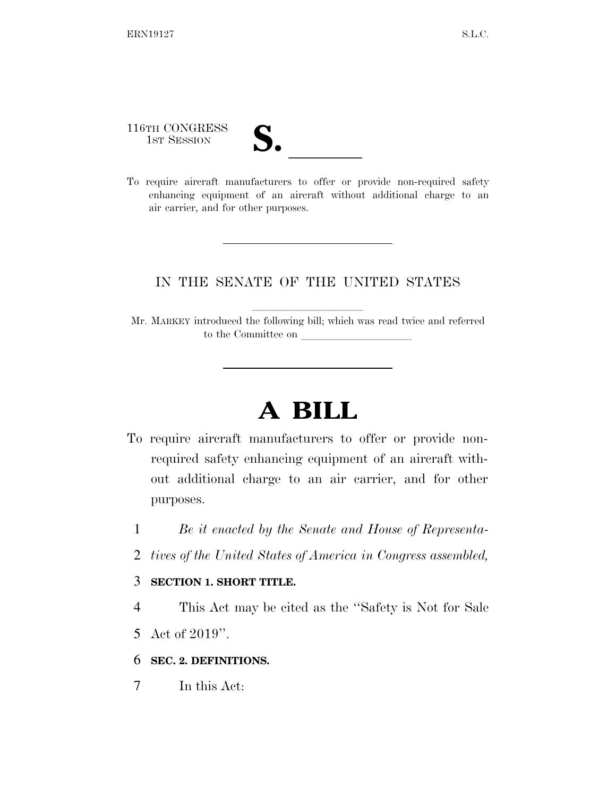116TH CONGRESS

- 
- 116TH CONGRESS<br>
1ST SESSION<br>
To require aircraft manufacturers to offer or provide non-required safety enhancing equipment of an aircraft without additional charge to an air carrier, and for other purposes.

## IN THE SENATE OF THE UNITED STATES

Mr. MARKEY introduced the following bill; which was read twice and referred to the Committee on

## **A BILL**

- To require aircraft manufacturers to offer or provide nonrequired safety enhancing equipment of an aircraft without additional charge to an air carrier, and for other purposes.
	- 1 *Be it enacted by the Senate and House of Representa-*
	- 2 *tives of the United States of America in Congress assembled,*

## 3 **SECTION 1. SHORT TITLE.**

4 This Act may be cited as the ''Safety is Not for Sale

- 5 Act of 2019''.
- 6 **SEC. 2. DEFINITIONS.**
- 7 In this Act: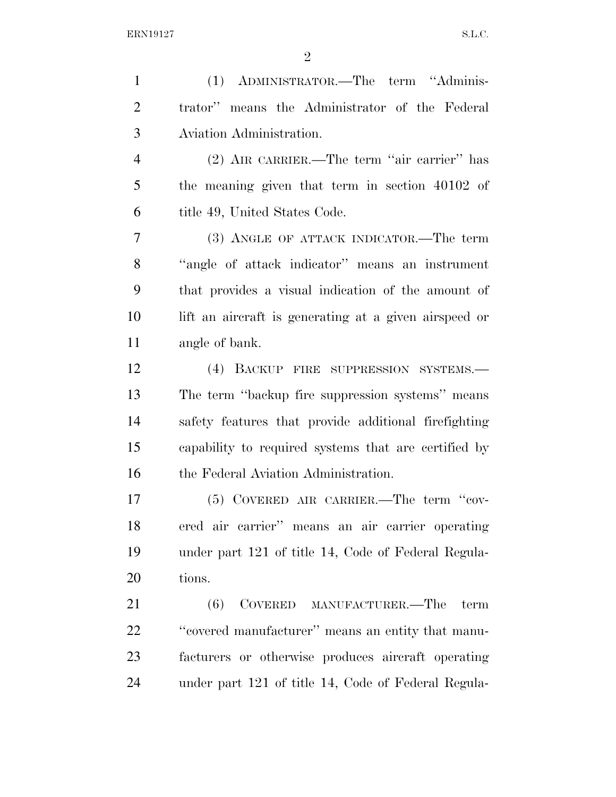(1) ADMINISTRATOR.—The term ''Adminis- trator'' means the Administrator of the Federal Aviation Administration. (2) AIR CARRIER.—The term ''air carrier'' has the meaning given that term in section 40102 of title 49, United States Code. (3) ANGLE OF ATTACK INDICATOR.—The term ''angle of attack indicator'' means an instrument that provides a visual indication of the amount of lift an aircraft is generating at a given airspeed or angle of bank. (4) BACKUP FIRE SUPPRESSION SYSTEMS.— The term ''backup fire suppression systems'' means safety features that provide additional firefighting capability to required systems that are certified by 16 the Federal Aviation Administration. (5) COVERED AIR CARRIER.—The term ''cov- ered air carrier'' means an air carrier operating under part 121 of title 14, Code of Federal Regula- tions. (6) COVERED MANUFACTURER.—The term ''covered manufacturer'' means an entity that manu- facturers or otherwise produces aircraft operating under part 121 of title 14, Code of Federal Regula-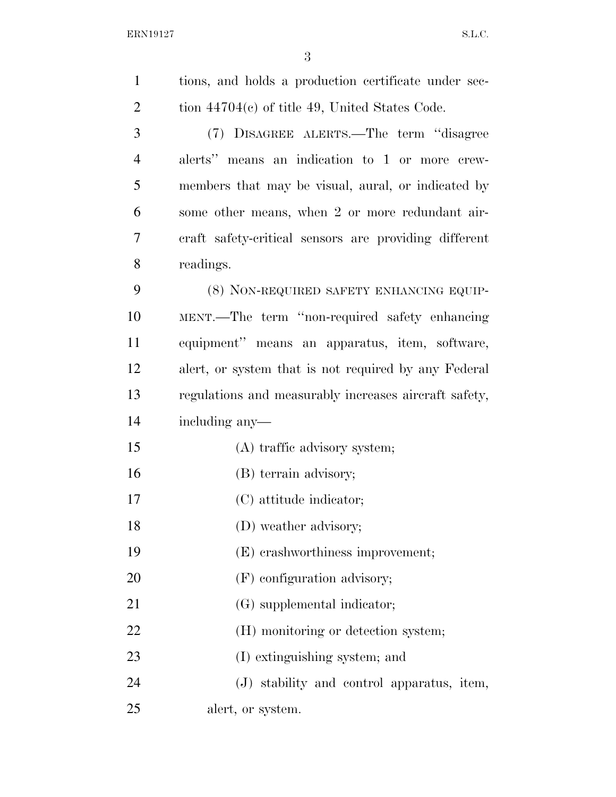| $\mathbf{1}$   | tions, and holds a production certificate under sec-  |
|----------------|-------------------------------------------------------|
| $\overline{2}$ | tion $44704(c)$ of title 49, United States Code.      |
| 3              | (7) DISAGREE ALERTS.—The term "disagree"              |
| 4              | alerts" means an indication to 1 or more crew-        |
| 5              | members that may be visual, aural, or indicated by    |
| 6              | some other means, when 2 or more redundant air-       |
| 7              | eraft safety-critical sensors are providing different |
| 8              | readings.                                             |
| 9              | (8) NON-REQUIRED SAFETY ENHANCING EQUIP-              |
| 10             | MENT.—The term "non-required safety enhancing         |
| 11             | equipment" means an apparatus, item, software,        |
| 12             | alert, or system that is not required by any Federal  |
| 13             | regulations and measurably increases aircraft safety, |
| 14             | including any—                                        |
| 15             | (A) traffic advisory system;                          |
| 16             | (B) terrain advisory;                                 |
| 17             | (C) attitude indicator;                               |
| 18             | (D) weather advisory;                                 |
| 19             | (E) crashworthiness improvement;                      |
| 20             | (F) configuration advisory;                           |
| 21             | (G) supplemental indicator;                           |
| 22             | (H) monitoring or detection system;                   |
| 23             | (I) extinguishing system; and                         |
| 24             | (J) stability and control apparatus, item,            |
| 25             | alert, or system.                                     |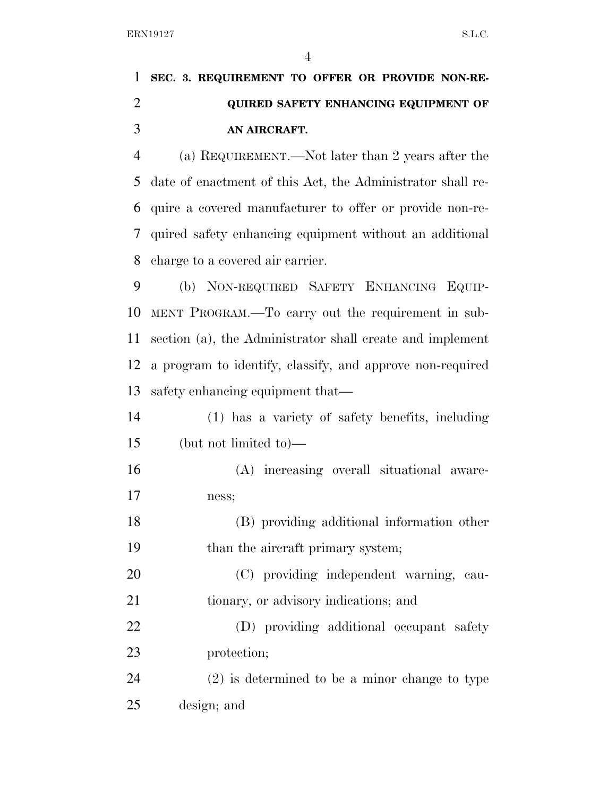## **SEC. 3. REQUIREMENT TO OFFER OR PROVIDE NON-RE- QUIRED SAFETY ENHANCING EQUIPMENT OF AN AIRCRAFT.**

 (a) REQUIREMENT.—Not later than 2 years after the date of enactment of this Act, the Administrator shall re- quire a covered manufacturer to offer or provide non-re- quired safety enhancing equipment without an additional charge to a covered air carrier.

 (b) NON-REQUIRED SAFETY ENHANCING EQUIP- MENT PROGRAM.—To carry out the requirement in sub- section (a), the Administrator shall create and implement a program to identify, classify, and approve non-required safety enhancing equipment that—

 (1) has a variety of safety benefits, including (but not limited to)—

 (A) increasing overall situational aware-ness;

 (B) providing additional information other 19 than the aircraft primary system;

 (C) providing independent warning, cau-tionary, or advisory indications; and

 (D) providing additional occupant safety protection;

 (2) is determined to be a minor change to type design; and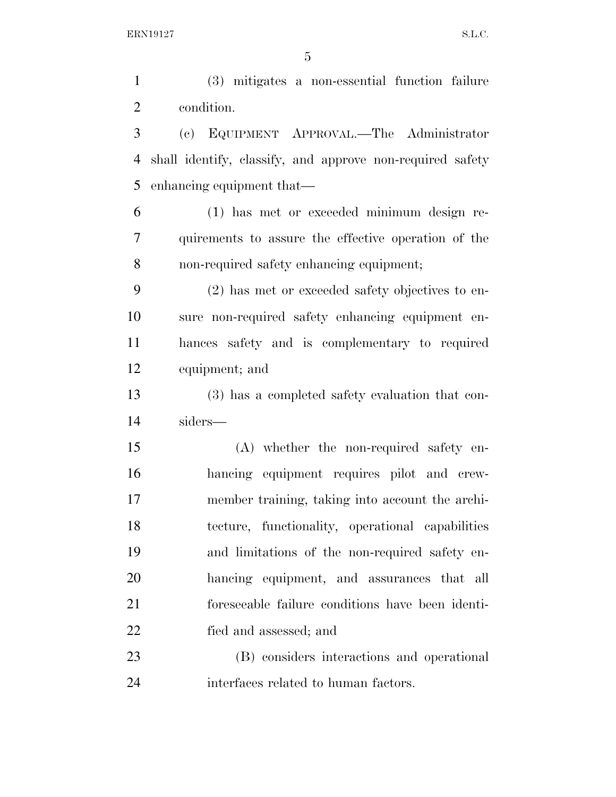(3) mitigates a non-essential function failure condition. (c) EQUIPMENT APPROVAL.—The Administrator shall identify, classify, and approve non-required safety enhancing equipment that— (1) has met or exceeded minimum design re- quirements to assure the effective operation of the non-required safety enhancing equipment; (2) has met or exceeded safety objectives to en- sure non-required safety enhancing equipment en- hances safety and is complementary to required equipment; and (3) has a completed safety evaluation that con- siders— (A) whether the non-required safety en- hancing equipment requires pilot and crew- member training, taking into account the archi- tecture, functionality, operational capabilities and limitations of the non-required safety en- hancing equipment, and assurances that all foreseeable failure conditions have been identi- fied and assessed; and (B) considers interactions and operational interfaces related to human factors.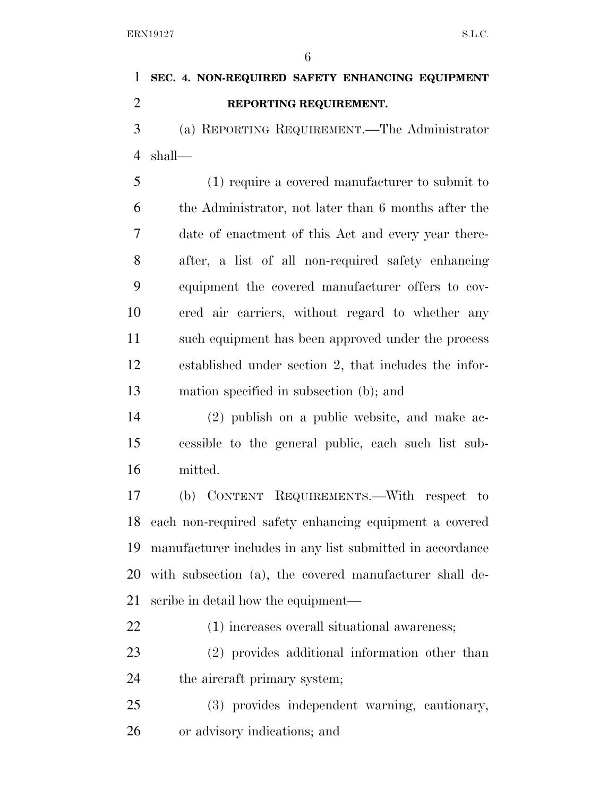**SEC. 4. NON-REQUIRED SAFETY ENHANCING EQUIPMENT REPORTING REQUIREMENT.**  (a) REPORTING REQUIREMENT.—The Administrator shall— (1) require a covered manufacturer to submit to the Administrator, not later than 6 months after the date of enactment of this Act and every year there- after, a list of all non-required safety enhancing equipment the covered manufacturer offers to cov- ered air carriers, without regard to whether any such equipment has been approved under the process established under section 2, that includes the infor- mation specified in subsection (b); and (2) publish on a public website, and make ac- cessible to the general public, each such list sub- mitted. (b) CONTENT REQUIREMENTS.—With respect to each non-required safety enhancing equipment a covered manufacturer includes in any list submitted in accordance with subsection (a), the covered manufacturer shall de- scribe in detail how the equipment— (1) increases overall situational awareness;

 (2) provides additional information other than 24 the aircraft primary system;

 (3) provides independent warning, cautionary, or advisory indications; and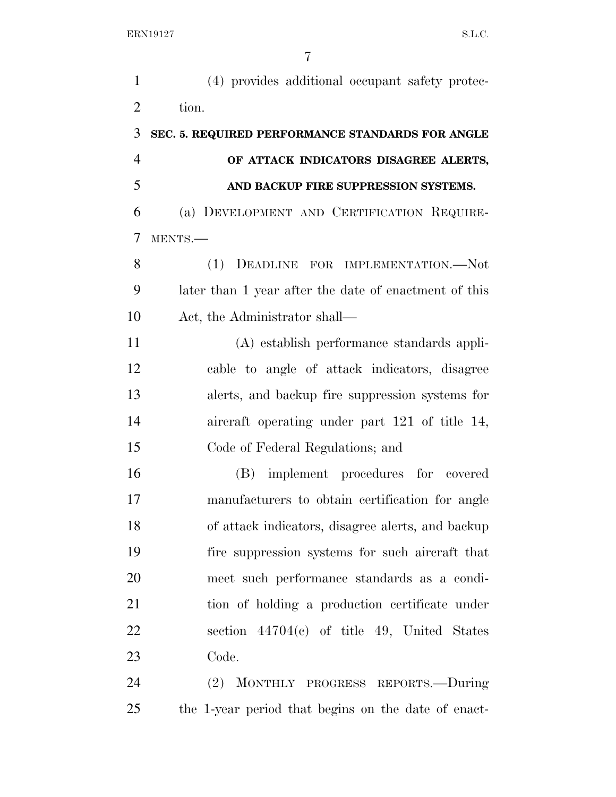| $\mathbf{1}$   | (4) provides additional occupant safety protec-       |
|----------------|-------------------------------------------------------|
| $\overline{2}$ | tion.                                                 |
| 3              | SEC. 5. REQUIRED PERFORMANCE STANDARDS FOR ANGLE      |
| $\overline{4}$ | OF ATTACK INDICATORS DISAGREE ALERTS,                 |
| 5              | AND BACKUP FIRE SUPPRESSION SYSTEMS.                  |
| 6              | (a) DEVELOPMENT AND CERTIFICATION REQUIRE-            |
| $\overline{7}$ | MENTS.-                                               |
| 8              | (1)<br>DEADLINE FOR IMPLEMENTATION.-Not               |
| 9              | later than 1 year after the date of enactment of this |
| 10             | Act, the Administrator shall—                         |
| 11             | (A) establish performance standards appli-            |
| 12             | cable to angle of attack indicators, disagree         |
| 13             | alerts, and backup fire suppression systems for       |
| 14             | aircraft operating under part 121 of title 14,        |
| 15             | Code of Federal Regulations; and                      |
| 16             | (B) implement procedures for covered                  |
| 17             | manufacturers to obtain certification for angle       |
| 18             | of attack indicators, disagree alerts, and backup     |
| 19             | fire suppression systems for such aircraft that       |
| 20             | meet such performance standards as a condi-           |
| 21             | tion of holding a production certificate under        |
| 22             | section $44704(c)$ of title 49, United States         |
| 23             | Code.                                                 |
| 24             | MONTHLY PROGRESS REPORTS.-During<br>(2)               |
| 25             | the 1-year period that begins on the date of enact-   |